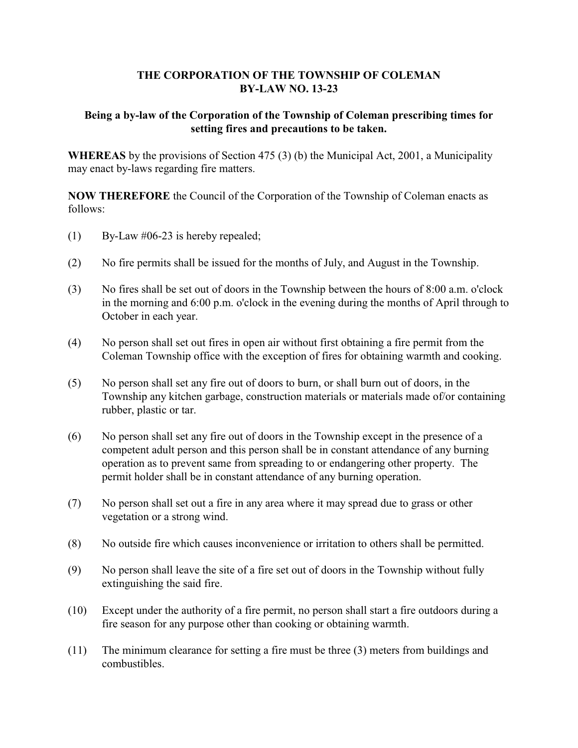#### **THE CORPORATION OF THE TOWNSHIP OF COLEMAN BY-LAW NO. 13-23**

#### **Being a by-law of the Corporation of the Township of Coleman prescribing times for setting fires and precautions to be taken.**

**WHEREAS** by the provisions of Section 475 (3) (b) the Municipal Act, 2001, a Municipality may enact by-laws regarding fire matters.

**NOW THEREFORE** the Council of the Corporation of the Township of Coleman enacts as follows:

- (1) By-Law #06-23 is hereby repealed;
- (2) No fire permits shall be issued for the months of July, and August in the Township.
- (3) No fires shall be set out of doors in the Township between the hours of 8:00 a.m. o'clock in the morning and 6:00 p.m. o'clock in the evening during the months of April through to October in each year.
- (4) No person shall set out fires in open air without first obtaining a fire permit from the Coleman Township office with the exception of fires for obtaining warmth and cooking.
- (5) No person shall set any fire out of doors to burn, or shall burn out of doors, in the Township any kitchen garbage, construction materials or materials made of/or containing rubber, plastic or tar.
- (6) No person shall set any fire out of doors in the Township except in the presence of a competent adult person and this person shall be in constant attendance of any burning operation as to prevent same from spreading to or endangering other property. The permit holder shall be in constant attendance of any burning operation.
- (7) No person shall set out a fire in any area where it may spread due to grass or other vegetation or a strong wind.
- (8) No outside fire which causes inconvenience or irritation to others shall be permitted.
- (9) No person shall leave the site of a fire set out of doors in the Township without fully extinguishing the said fire.
- (10) Except under the authority of a fire permit, no person shall start a fire outdoors during a fire season for any purpose other than cooking or obtaining warmth.
- (11) The minimum clearance for setting a fire must be three (3) meters from buildings and combustibles.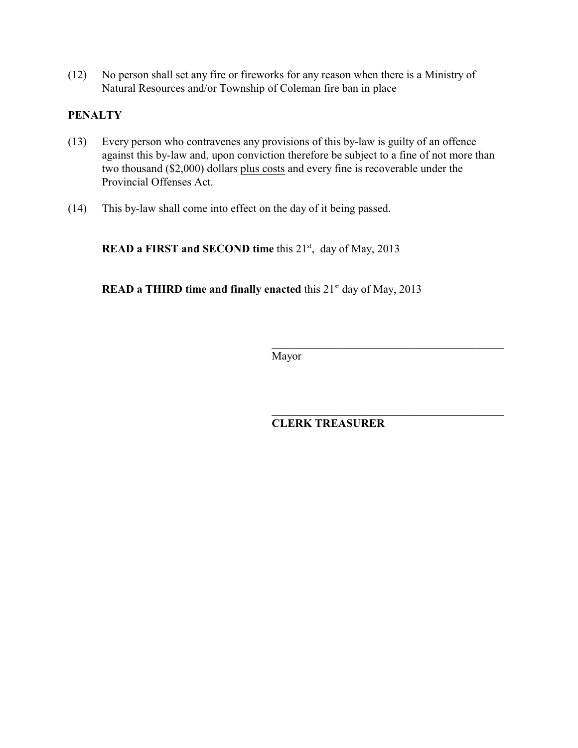(12) No person shall set any fire or fireworks for any reason when there is a Ministry of Natural Resources and/or Township of Coleman fire ban in place

#### **PENALTY**

- (13) Every person who contravenes any provisions of this by-law is guilty of an offence against this by-law and, upon conviction therefore be subject to a fine of not more than two thousand (\$2,000) dollars plus costs and every fine is recoverable under the Provincial Offenses Act.
- (14) This by-law shall come into effect on the day of it being passed.

**READ a FIRST and SECOND time** this 21<sup>st</sup>, day of May, 2013

**READ a THIRD time and finally enacted** this 21<sup>st</sup> day of May, 2013

Mayor

 $\overline{\phantom{a}}$  , and the contract of the contract of the contract of the contract of the contract of the contract of the contract of the contract of the contract of the contract of the contract of the contract of the contrac

**CLERK TREASURER**

 $\overline{\phantom{a}}$  , and the set of the set of the set of the set of the set of the set of the set of the set of the set of the set of the set of the set of the set of the set of the set of the set of the set of the set of the s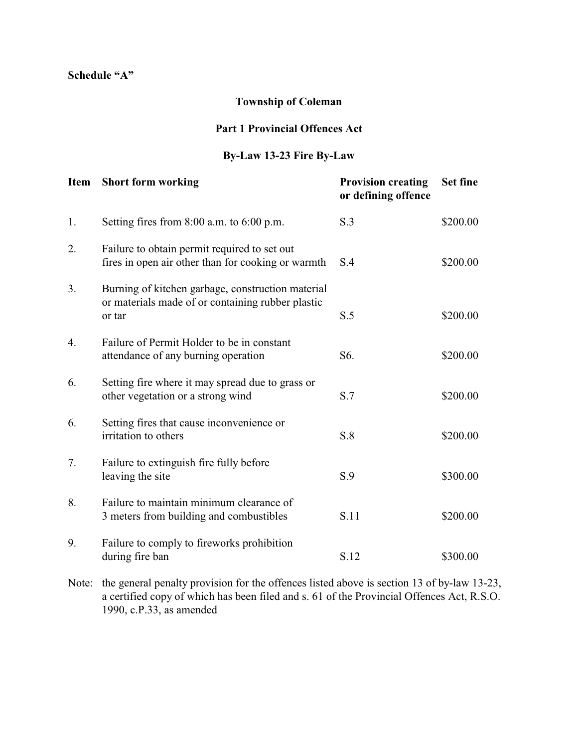#### **Schedule "A"**

### **Township of Coleman**

#### **Part 1 Provincial Offences Act**

#### **By-Law 13-23 Fire By-Law**

| <b>Item</b> | <b>Short form working</b>                                                                                        | <b>Provision creating</b><br>or defining offence | <b>Set fine</b> |
|-------------|------------------------------------------------------------------------------------------------------------------|--------------------------------------------------|-----------------|
| 1.          | Setting fires from $8:00$ a.m. to $6:00$ p.m.                                                                    | S.3                                              | \$200.00        |
| 2.          | Failure to obtain permit required to set out<br>fires in open air other than for cooking or warmth               | S.4                                              | \$200.00        |
| 3.          | Burning of kitchen garbage, construction material<br>or materials made of or containing rubber plastic<br>or tar | S.5                                              | \$200.00        |
| 4.          | Failure of Permit Holder to be in constant<br>attendance of any burning operation                                | S6.                                              | \$200.00        |
| 6.          | Setting fire where it may spread due to grass or<br>other vegetation or a strong wind                            | S.7                                              | \$200.00        |
| 6.          | Setting fires that cause inconvenience or<br>irritation to others                                                | S.8                                              | \$200.00        |
| 7.          | Failure to extinguish fire fully before<br>leaving the site                                                      | S.9                                              | \$300.00        |
| 8.          | Failure to maintain minimum clearance of<br>3 meters from building and combustibles                              | S.11                                             | \$200.00        |
| 9.          | Failure to comply to fireworks prohibition<br>during fire ban                                                    | S.12                                             | \$300.00        |

Note: the general penalty provision for the offences listed above is section 13 of by-law 13-23, a certified copy of which has been filed and s. 61 of the Provincial Offences Act, R.S.O. 1990, c.P.33, as amended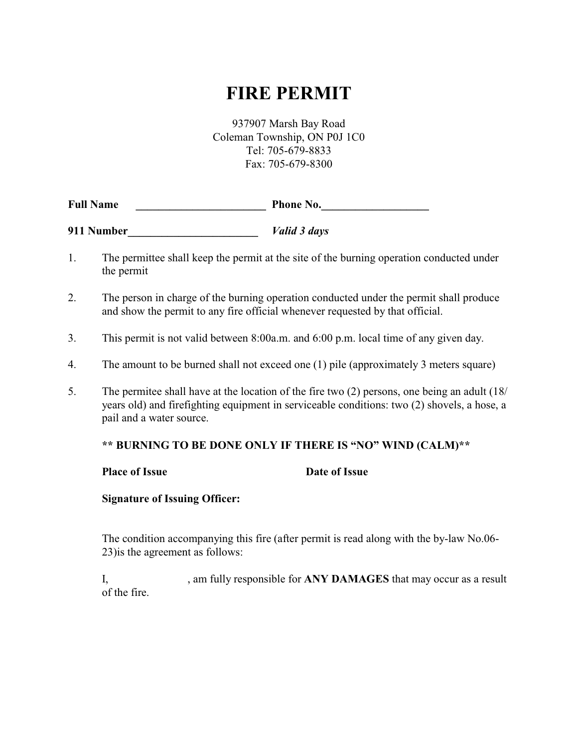# **FIRE PERMIT**

937907 Marsh Bay Road Coleman Township, ON P0J 1C0 Tel: 705-679-8833 Fax: 705-679-8300

| <b>Full Name</b> | <b>Phone No.</b> |  |
|------------------|------------------|--|
|                  |                  |  |

**911 Number\_\_\_\_\_\_\_\_\_\_\_\_\_\_\_\_\_\_\_\_\_\_\_** *Valid 3 days*

- 1. The permittee shall keep the permit at the site of the burning operation conducted under the permit
- 2. The person in charge of the burning operation conducted under the permit shall produce and show the permit to any fire official whenever requested by that official.
- 3. This permit is not valid between 8:00a.m. and 6:00 p.m. local time of any given day.
- 4. The amount to be burned shall not exceed one (1) pile (approximately 3 meters square)
- 5. The permitee shall have at the location of the fire two (2) persons, one being an adult (18/ years old) and firefighting equipment in serviceable conditions: two (2) shovels, a hose, a pail and a water source.

#### **\*\* BURNING TO BE DONE ONLY IF THERE IS "NO" WIND (CALM)\*\***

#### **Place of Issue Date of Issue**

**Signature of Issuing Officer:**

The condition accompanying this fire (after permit is read along with the by-law No.06- 23)is the agreement as follows:

I, am fully responsible for **ANY DAMAGES** that may occur as a result of the fire.